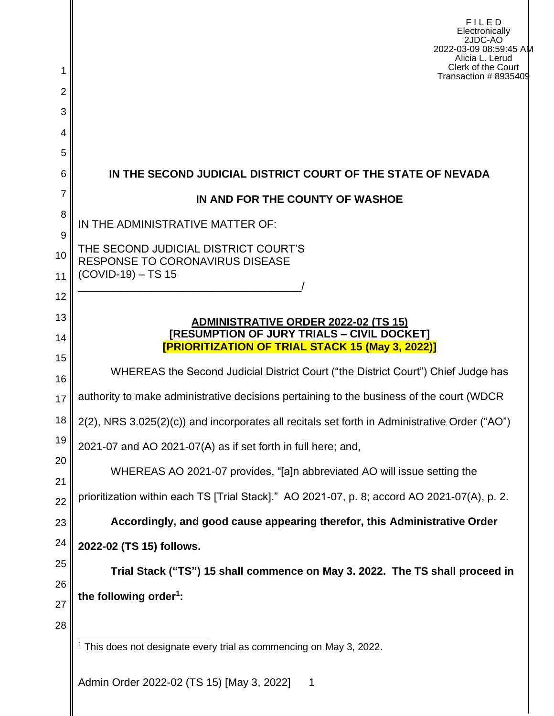|                     | FILED<br>Electronically<br>2JDC-AO<br>2022-03-09 08:59:45 AM<br>Alicia L. Lerud<br>Clerk of the Court  |  |  |  |  |  |  |
|---------------------|--------------------------------------------------------------------------------------------------------|--|--|--|--|--|--|
| 1<br>$\overline{2}$ | Transaction #8935409                                                                                   |  |  |  |  |  |  |
| 3                   |                                                                                                        |  |  |  |  |  |  |
| 4                   |                                                                                                        |  |  |  |  |  |  |
| 5                   |                                                                                                        |  |  |  |  |  |  |
| 6                   | IN THE SECOND JUDICIAL DISTRICT COURT OF THE STATE OF NEVADA                                           |  |  |  |  |  |  |
| $\overline{7}$      | IN AND FOR THE COUNTY OF WASHOE                                                                        |  |  |  |  |  |  |
| 8                   | IN THE ADMINISTRATIVE MATTER OF:                                                                       |  |  |  |  |  |  |
| 9<br>10<br>11       | THE SECOND JUDICIAL DISTRICT COURT'S<br><b>RESPONSE TO CORONAVIRUS DISEASE</b><br>$(COVID-19) - TS 15$ |  |  |  |  |  |  |
| 12                  |                                                                                                        |  |  |  |  |  |  |
| 13                  | <b>ADMINISTRATIVE ORDER 2022-02 (TS 15)</b>                                                            |  |  |  |  |  |  |
| 14                  | [RESUMPTION OF JURY TRIALS - CIVIL DOCKET]<br><b>[PRIORITIZATION OF TRIAL STACK 15 (May 3, 2022)]</b>  |  |  |  |  |  |  |
| 15                  | WHEREAS the Second Judicial District Court ("the District Court") Chief Judge has                      |  |  |  |  |  |  |
| 16                  |                                                                                                        |  |  |  |  |  |  |
| 17                  | authority to make administrative decisions pertaining to the business of the court (WDCR               |  |  |  |  |  |  |
| 18                  | 2(2), NRS 3.025(2)(c)) and incorporates all recitals set forth in Administrative Order ("AO")          |  |  |  |  |  |  |
| 19<br>20            | 2021-07 and AO 2021-07(A) as if set forth in full here; and,                                           |  |  |  |  |  |  |
| 21                  | WHEREAS AO 2021-07 provides, "[a]n abbreviated AO will issue setting the                               |  |  |  |  |  |  |
| 22                  | prioritization within each TS [Trial Stack]." AO 2021-07, p. 8; accord AO 2021-07(A), p. 2.            |  |  |  |  |  |  |
| 23                  | Accordingly, and good cause appearing therefor, this Administrative Order                              |  |  |  |  |  |  |
| 24                  | 2022-02 (TS 15) follows.                                                                               |  |  |  |  |  |  |
| 25                  | Trial Stack ("TS") 15 shall commence on May 3. 2022. The TS shall proceed in                           |  |  |  |  |  |  |
| 26<br>27            | the following order <sup>1</sup> :                                                                     |  |  |  |  |  |  |
| 28                  |                                                                                                        |  |  |  |  |  |  |
|                     | <sup>1</sup> This does not designate every trial as commencing on May 3, 2022.                         |  |  |  |  |  |  |
|                     | Admin Order 2022-02 (TS 15) [May 3, 2022]<br>1                                                         |  |  |  |  |  |  |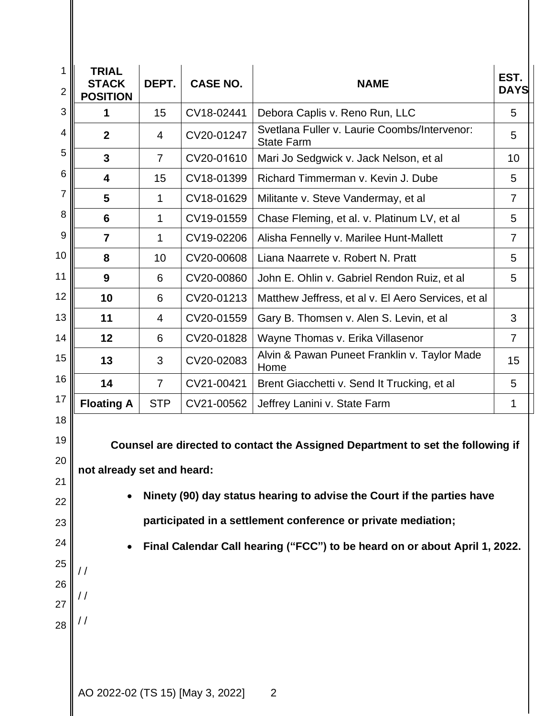| 1<br>2                                                         | <b>TRIAL</b><br><b>STACK</b><br><b>POSITION</b>    | DEPT.                                                                                                                                                                                                                                                                                                                                  | <b>CASE NO.</b> | <b>NAME</b>                                                       | EST.<br><b>DAYS</b> |  |  |
|----------------------------------------------------------------|----------------------------------------------------|----------------------------------------------------------------------------------------------------------------------------------------------------------------------------------------------------------------------------------------------------------------------------------------------------------------------------------------|-----------------|-------------------------------------------------------------------|---------------------|--|--|
| 3                                                              | 1                                                  | 15                                                                                                                                                                                                                                                                                                                                     | CV18-02441      | Debora Caplis v. Reno Run, LLC                                    | 5                   |  |  |
| 4                                                              | $\overline{2}$                                     | 4                                                                                                                                                                                                                                                                                                                                      | CV20-01247      | Svetlana Fuller v. Laurie Coombs/Intervenor:<br><b>State Farm</b> | 5                   |  |  |
| 5                                                              | $\mathbf{3}$                                       | $\overline{7}$                                                                                                                                                                                                                                                                                                                         | CV20-01610      | Mari Jo Sedgwick v. Jack Nelson, et al                            | 10                  |  |  |
| 6                                                              | 4                                                  | 15                                                                                                                                                                                                                                                                                                                                     | CV18-01399      | Richard Timmerman v. Kevin J. Dube                                | 5                   |  |  |
| 7                                                              | 5                                                  | 1                                                                                                                                                                                                                                                                                                                                      | CV18-01629      | Militante v. Steve Vandermay, et al                               | $\overline{7}$      |  |  |
| 8                                                              | 6                                                  | 1                                                                                                                                                                                                                                                                                                                                      | CV19-01559      | Chase Fleming, et al. v. Platinum LV, et al                       | 5                   |  |  |
| 9                                                              | $\overline{7}$                                     | 1                                                                                                                                                                                                                                                                                                                                      | CV19-02206      | Alisha Fennelly v. Marilee Hunt-Mallett                           | $\overline{7}$      |  |  |
| 10                                                             | 8                                                  | 10                                                                                                                                                                                                                                                                                                                                     | CV20-00608      | Liana Naarrete v. Robert N. Pratt                                 | 5                   |  |  |
| 11                                                             | 9                                                  | 6                                                                                                                                                                                                                                                                                                                                      | CV20-00860      | John E. Ohlin v. Gabriel Rendon Ruiz, et al                       | 5                   |  |  |
| 12                                                             | 10                                                 | 6                                                                                                                                                                                                                                                                                                                                      | CV20-01213      | Matthew Jeffress, et al v. El Aero Services, et al                |                     |  |  |
| 13                                                             | 11                                                 | 4                                                                                                                                                                                                                                                                                                                                      | CV20-01559      | Gary B. Thomsen v. Alen S. Levin, et al                           | 3                   |  |  |
| 14                                                             | 12                                                 | 6                                                                                                                                                                                                                                                                                                                                      | CV20-01828      | Wayne Thomas v. Erika Villasenor                                  | $\overline{7}$      |  |  |
| 15                                                             | 13                                                 | 3                                                                                                                                                                                                                                                                                                                                      | CV20-02083      | Alvin & Pawan Puneet Franklin v. Taylor Made<br>Home              | 15                  |  |  |
| 16                                                             | 14                                                 | $\overline{7}$                                                                                                                                                                                                                                                                                                                         | CV21-00421      | Brent Giacchetti v. Send It Trucking, et al                       | 5                   |  |  |
| 17                                                             | <b>Floating A</b>                                  | <b>STP</b>                                                                                                                                                                                                                                                                                                                             | CV21-00562      | Jeffrey Lanini v. State Farm                                      | 1                   |  |  |
| 18<br>19<br>20<br>21<br>22<br>23<br>24<br>25<br>26<br>27<br>28 | $\frac{1}{2}$                                      | Counsel are directed to contact the Assigned Department to set the following if<br>not already set and heard:<br>Ninety (90) day status hearing to advise the Court if the parties have<br>participated in a settlement conference or private mediation;<br>Final Calendar Call hearing ("FCC") to be heard on or about April 1, 2022. |                 |                                                                   |                     |  |  |
|                                                                | AO 2022-02 (TS 15) [May 3, 2022]<br>$\overline{2}$ |                                                                                                                                                                                                                                                                                                                                        |                 |                                                                   |                     |  |  |